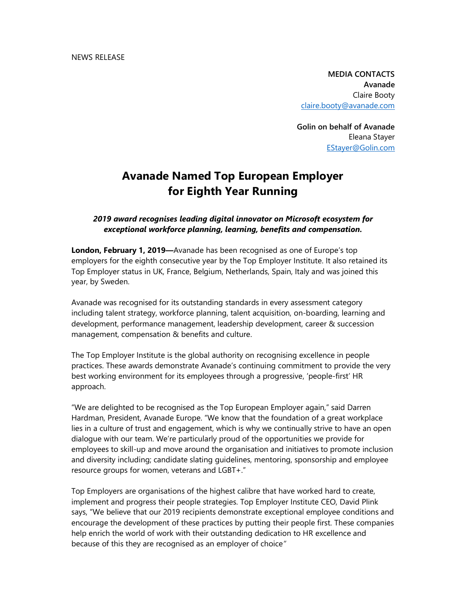MEDIA CONTACTS Avanade Claire Booty claire.booty@avanade.com

Golin on behalf of Avanade Eleana Stayer EStayer@Golin.com

## Avanade Named Top European Employer for Eighth Year Running

## 2019 award recognises leading digital innovator on Microsoft ecosystem for exceptional workforce planning, learning, benefits and compensation.

London, February 1, 2019—Avanade has been recognised as one of Europe's top employers for the eighth consecutive year by the Top Employer Institute. It also retained its Top Employer status in UK, France, Belgium, Netherlands, Spain, Italy and was joined this year, by Sweden.

Avanade was recognised for its outstanding standards in every assessment category including talent strategy, workforce planning, talent acquisition, on-boarding, learning and development, performance management, leadership development, career & succession management, compensation & benefits and culture.

The Top Employer Institute is the global authority on recognising excellence in people practices. These awards demonstrate Avanade's continuing commitment to provide the very best working environment for its employees through a progressive, 'people-first' HR approach.

"We are delighted to be recognised as the Top European Employer again," said Darren Hardman, President, Avanade Europe. "We know that the foundation of a great workplace lies in a culture of trust and engagement, which is why we continually strive to have an open dialogue with our team. We're particularly proud of the opportunities we provide for employees to skill-up and move around the organisation and initiatives to promote inclusion and diversity including; candidate slating guidelines, mentoring, sponsorship and employee resource groups for women, veterans and LGBT+."

Top Employers are organisations of the highest calibre that have worked hard to create, implement and progress their people strategies. Top Employer Institute CEO, David Plink says, "We believe that our 2019 recipients demonstrate exceptional employee conditions and encourage the development of these practices by putting their people first. These companies help enrich the world of work with their outstanding dedication to HR excellence and because of this they are recognised as an employer of choice"